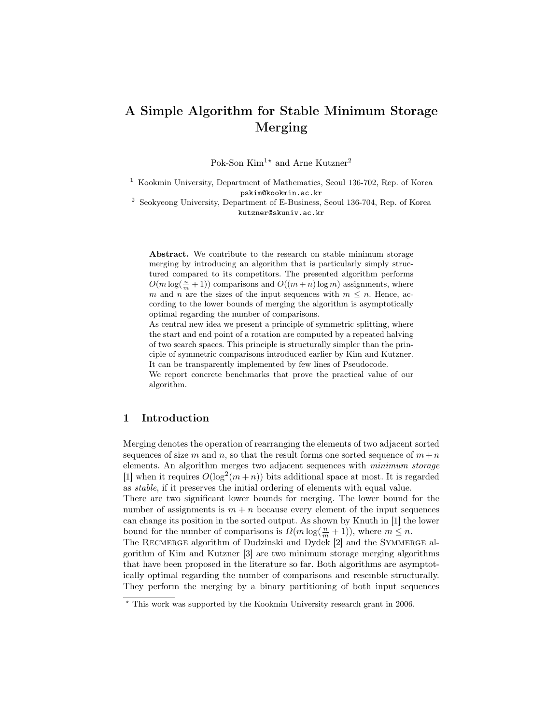# A Simple Algorithm for Stable Minimum Storage Merging

Pok-Son $\mathrm{Kim^{1\star}}$  and Arne  $\mathrm{Kutzner^2}$ 

<sup>1</sup> Kookmin University, Department of Mathematics, Seoul 136-702, Rep. of Korea pskim@kookmin.ac.kr

<sup>2</sup> Seokyeong University, Department of E-Business, Seoul 136-704, Rep. of Korea kutzner@skuniv.ac.kr

Abstract. We contribute to the research on stable minimum storage merging by introducing an algorithm that is particularly simply structured compared to its competitors. The presented algorithm performs  $O(m \log(\frac{n}{m} + 1))$  comparisons and  $O((m + n) \log m)$  assignments, where m and n are the sizes of the input sequences with  $m \leq n$ . Hence, according to the lower bounds of merging the algorithm is asymptotically optimal regarding the number of comparisons.

As central new idea we present a principle of symmetric splitting, where the start and end point of a rotation are computed by a repeated halving of two search spaces. This principle is structurally simpler than the principle of symmetric comparisons introduced earlier by Kim and Kutzner. It can be transparently implemented by few lines of Pseudocode.

We report concrete benchmarks that prove the practical value of our algorithm.

### 1 Introduction

Merging denotes the operation of rearranging the elements of two adjacent sorted sequences of size m and n, so that the result forms one sorted sequence of  $m + n$ elements. An algorithm merges two adjacent sequences with minimum storage [1] when it requires  $O(\log^2(m+n))$  bits additional space at most. It is regarded as stable, if it preserves the initial ordering of elements with equal value.

There are two significant lower bounds for merging. The lower bound for the number of assignments is  $m + n$  because every element of the input sequences can change its position in the sorted output. As shown by Knuth in [1] the lower bound for the number of comparisons is  $\Omega(m \log(\frac{n}{m} + 1))$ , where  $m \leq n$ .

The RECMERGE algorithm of Dudzinski and Dydek [2] and the SYMMERGE algorithm of Kim and Kutzner [3] are two minimum storage merging algorithms that have been proposed in the literature so far. Both algorithms are asymptotically optimal regarding the number of comparisons and resemble structurally. They perform the merging by a binary partitioning of both input sequences

<sup>?</sup> This work was supported by the Kookmin University research grant in 2006.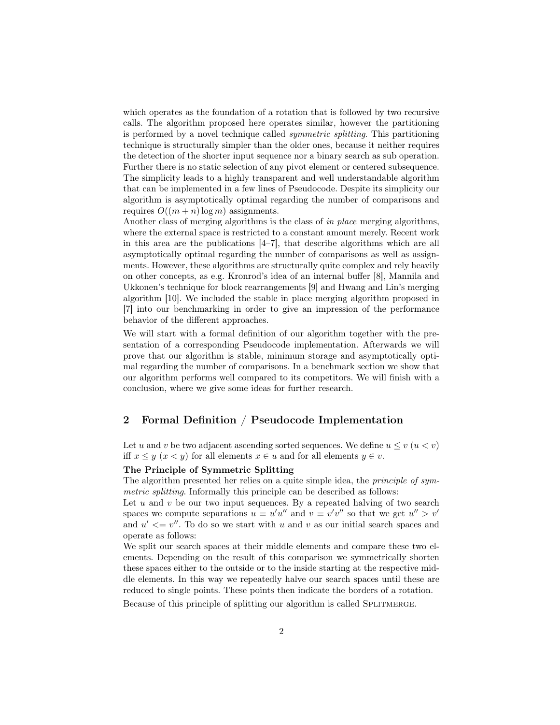which operates as the foundation of a rotation that is followed by two recursive calls. The algorithm proposed here operates similar, however the partitioning is performed by a novel technique called symmetric splitting. This partitioning technique is structurally simpler than the older ones, because it neither requires the detection of the shorter input sequence nor a binary search as sub operation. Further there is no static selection of any pivot element or centered subsequence. The simplicity leads to a highly transparent and well understandable algorithm that can be implemented in a few lines of Pseudocode. Despite its simplicity our algorithm is asymptotically optimal regarding the number of comparisons and requires  $O((m + n) \log m)$  assignments.

Another class of merging algorithms is the class of in place merging algorithms, where the external space is restricted to a constant amount merely. Recent work in this area are the publications [4–7], that describe algorithms which are all asymptotically optimal regarding the number of comparisons as well as assignments. However, these algorithms are structurally quite complex and rely heavily on other concepts, as e.g. Kronrod's idea of an internal buffer [8], Mannila and Ukkonen's technique for block rearrangements [9] and Hwang and Lin's merging algorithm [10]. We included the stable in place merging algorithm proposed in [7] into our benchmarking in order to give an impression of the performance behavior of the different approaches.

We will start with a formal definition of our algorithm together with the presentation of a corresponding Pseudocode implementation. Afterwards we will prove that our algorithm is stable, minimum storage and asymptotically optimal regarding the number of comparisons. In a benchmark section we show that our algorithm performs well compared to its competitors. We will finish with a conclusion, where we give some ideas for further research.

#### 2 Formal Definition / Pseudocode Implementation

Let u and v be two adjacent ascending sorted sequences. We define  $u \leq v$   $(u < v)$ iff  $x \leq y$   $(x \leq y)$  for all elements  $x \in u$  and for all elements  $y \in v$ .

#### The Principle of Symmetric Splitting

The algorithm presented her relies on a quite simple idea, the *principle of sym*metric splitting. Informally this principle can be described as follows:

Let  $u$  and  $v$  be our two input sequences. By a repeated halving of two search spaces we compute separations  $u \equiv u'u''$  and  $v \equiv v'v''$  so that we get  $u'' > v'$ and  $u' \leq v''$ . To do so we start with u and v as our initial search spaces and operate as follows:

We split our search spaces at their middle elements and compare these two elements. Depending on the result of this comparison we symmetrically shorten these spaces either to the outside or to the inside starting at the respective middle elements. In this way we repeatedly halve our search spaces until these are reduced to single points. These points then indicate the borders of a rotation.

Because of this principle of splitting our algorithm is called SPLITMERGE.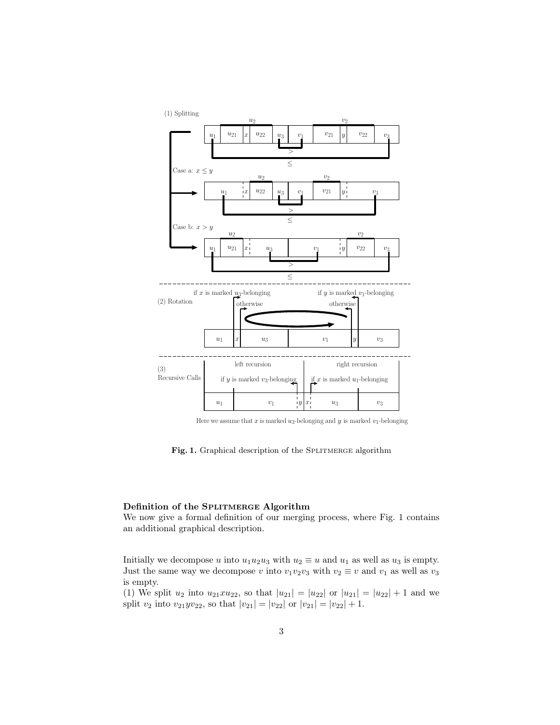

Here we assume that x is marked  $u_3$ -belonging and y is marked  $v_1$ -belonging

Fig. 1. Graphical description of the SPLITMERGE algorithm

#### Definition of the SPLITMERGE Algorithm

We now give a formal definition of our merging process, where Fig. 1 contains an additional graphical description.

Initially we decompose u into  $u_1u_2u_3$  with  $u_2 \equiv u$  and  $u_1$  as well as  $u_3$  is empty. Just the same way we decompose v into  $v_1v_2v_3$  with  $v_2 \equiv v$  and  $v_1$  as well as  $v_3$ is empty.

(1) We split  $u_2$  into  $u_{21}xu_{22}$ , so that  $|u_{21}| = |u_{22}|$  or  $|u_{21}| = |u_{22}| + 1$  and we split  $v_2$  into  $v_{21}yv_{22}$ , so that  $|v_{21}| = |v_{22}|$  or  $|v_{21}| = |v_{22}| + 1$ .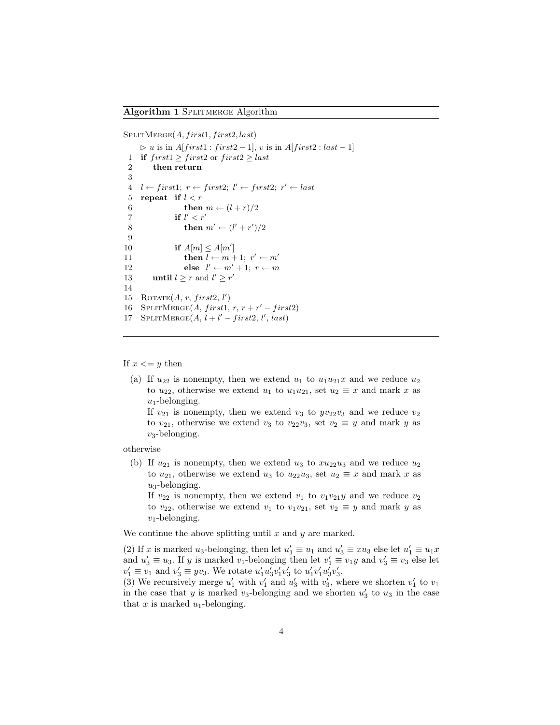$S$ PLITMERGE $(A, first1, first2, last)$ 

 $\triangleright u$  is in  $A[first1 : first2 - 1], v$  is in  $A[first2 : last - 1]$ 1 if  $first1 \geq first2$  or  $first2 \geq last$ 2 then return 3  $4 \quad l \leftarrow first1; \; r \leftarrow first2; \; l' \leftarrow first2; \; r' \leftarrow last$ 5 repeat if  $l < r$ 6 then  $m \leftarrow (l + r)/2$ 7 if  $l' < r'$ 8 then  $m' \leftarrow (l' + r')/2$ 9 10 if  $A[m] \leq A[m']$ 11 **then**  $l \leftarrow m + 1; r' \leftarrow m'$ 12 else  $l' \leftarrow m' + 1; r \leftarrow m$ 13 until  $l \geq r$  and  $l' \geq r'$ 14 15 ROTATE $(A, r, first2, l')$ 16 SPLITMERGE $(A, first1, r, r + r' - first2)$ 17 SPLITMERGE $(A, l + l' - first2, l', last)$ 

If  $x \le y$  then

(a) If  $u_{22}$  is nonempty, then we extend  $u_1$  to  $u_1u_{21}x$  and we reduce  $u_2$ to  $u_{22}$ , otherwise we extend  $u_1$  to  $u_1u_{21}$ , set  $u_2 \equiv x$  and mark x as  $u_1$ -belonging.

If  $v_{21}$  is nonempty, then we extend  $v_3$  to  $yv_{22}v_3$  and we reduce  $v_2$ to  $v_{21}$ , otherwise we extend  $v_3$  to  $v_{22}v_3$ , set  $v_2 \equiv y$  and mark y as  $v_3$ -belonging.

otherwise

(b) If  $u_{21}$  is nonempty, then we extend  $u_3$  to  $x u_{22} u_3$  and we reduce  $u_2$ to  $u_{21}$ , otherwise we extend  $u_3$  to  $u_{22}u_3$ , set  $u_2 \equiv x$  and mark x as  $u_3$ -belonging.

If  $v_{22}$  is nonempty, then we extend  $v_1$  to  $v_1v_{21}y$  and we reduce  $v_2$ to  $v_{22}$ , otherwise we extend  $v_1$  to  $v_1v_{21}$ , set  $v_2 \equiv y$  and mark y as  $v_1$ -belonging.

We continue the above splitting until  $x$  and  $y$  are marked.

(2) If x is marked u<sub>3</sub>-belonging, then let  $u'_1 \equiv u_1$  and  $u'_3 \equiv xu_3$  else let  $u'_1 \equiv u_1 x$ and  $u'_3 \equiv u_3$ . If y is marked v<sub>1</sub>-belonging then let  $v'_1 \equiv v_1y$  and  $v'_3 \equiv v_3$  else let  $v'_1 \equiv v_1$  and  $v'_3 \equiv yv_3$ . We rotate  $u'_1u'_3v'_1v'_3$  to  $u'_1v'_1u'_3v'_3$ .

(3) We recursively merge  $u'_1$  with  $v'_1$  and  $u'_3$  with  $v'_3$ , where we shorten  $v'_1$  to  $v_1$ in the case that y is marked  $v_3$ -belonging and we shorten  $u'_3$  to  $u_3$  in the case that  $x$  is marked  $u_1$ -belonging.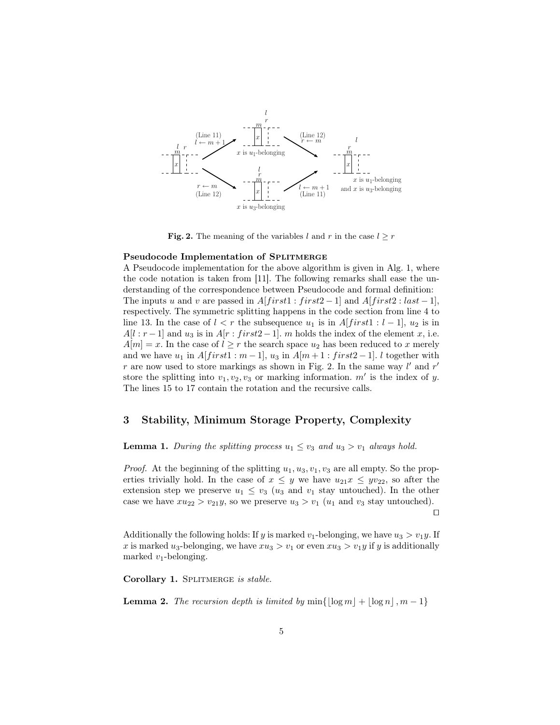

Fig. 2. The meaning of the variables l and r in the case  $l \geq r$ 

#### Pseudocode Implementation of SPLITMERGE

A Pseudocode implementation for the above algorithm is given in Alg. 1, where the code notation is taken from [11]. The following remarks shall ease the understanding of the correspondence between Pseudocode and formal definition: The inputs u and v are passed in  $A[first1 : first2 - 1]$  and  $A[first2 : last - 1]$ , respectively. The symmetric splitting happens in the code section from line 4 to line 13. In the case of  $l < r$  the subsequence  $u_1$  is in  $A[first1 : l-1], u_2$  is in  $A[l : r-1]$  and  $u_3$  is in  $A[r : first2-1]$ . m holds the index of the element x, i.e.  $A[m] = x$ . In the case of  $l \geq r$  the search space  $u_2$  has been reduced to x merely and we have  $u_1$  in  $A[first1 : m-1]$ ,  $u_3$  in  $A[m+1 : first2-1]$ . l together with r are now used to store markings as shown in Fig. 2. In the same way  $l'$  and  $r'$ store the splitting into  $v_1, v_2, v_3$  or marking information.  $m'$  is the index of y. The lines 15 to 17 contain the rotation and the recursive calls.

#### 3 Stability, Minimum Storage Property, Complexity

**Lemma 1.** During the splitting process  $u_1 \leq v_3$  and  $u_3 > v_1$  always hold.

*Proof.* At the beginning of the splitting  $u_1, u_3, v_1, v_3$  are all empty. So the properties trivially hold. In the case of  $x \leq y$  we have  $u_{21}x \leq yv_{22}$ , so after the extension step we preserve  $u_1 \leq v_3$  ( $u_3$  and  $v_1$  stay untouched). In the other case we have  $xu_{22} > v_{21}y$ , so we preserve  $u_3 > v_1$  ( $u_1$  and  $v_3$  stay untouched).  $\Box$ 

Additionally the following holds: If y is marked  $v_1$ -belonging, we have  $u_3 > v_1y$ . If x is marked u<sub>3</sub>-belonging, we have  $xu_3 > v_1$  or even  $xu_3 > v_1y$  if y is additionally marked  $v_1$ -belonging.

Corollary 1. SPLITMERGE is stable.

**Lemma 2.** The recursion depth is limited by  $\min\{|\log m| + |\log n|, m - 1\}$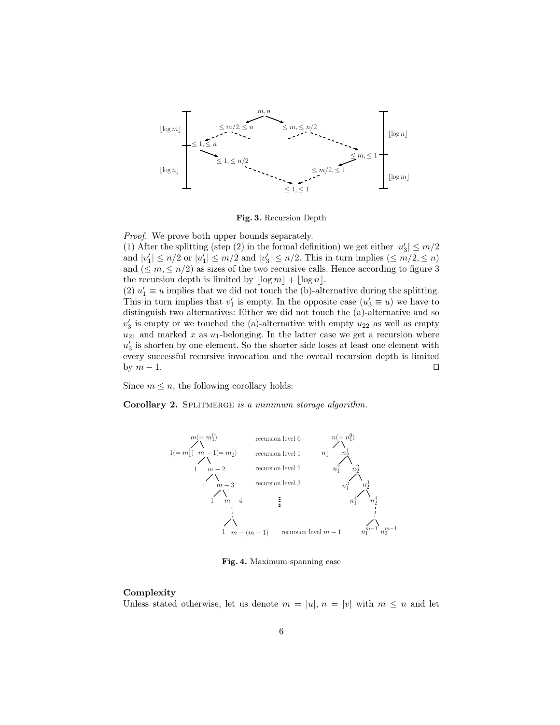

Fig. 3. Recursion Depth

Proof. We prove both upper bounds separately.

(1) After the splitting (step (2) in the formal definition) we get either  $|u'_3| \le m/2$ and  $|v'_1| \leq n/2$  or  $|u'_1| \leq m/2$  and  $|v'_3| \leq n/2$ . This in turn implies  $(\leq m/2, \leq n)$ and  $(\leq m, \leq n/2)$  as sizes of the two recursive calls. Hence according to figure 3 the recursion depth is limited by  $\lfloor \log m \rfloor + \lfloor \log n \rfloor$ .

(2)  $u'_1 \equiv u$  implies that we did not touch the (b)-alternative during the splitting. This in turn implies that  $v'_1$  is empty. In the opposite case  $(u'_3 \equiv u)$  we have to distinguish two alternatives: Either we did not touch the (a)-alternative and so  $v_3'$  is empty or we touched the (a)-alternative with empty  $u_{22}$  as well as empty  $u_{21}$  and marked x as  $u_1$ -belonging. In the latter case we get a recursion where  $u'_3$  is shorten by one element. So the shorter side loses at least one element with every successful recursive invocation and the overall recursion depth is limited by  $m-1$ .

Since  $m \leq n$ , the following corollary holds:

Corollary 2. SPLITMERGE is a minimum storage algorithm.



Fig. 4. Maximum spanning case

#### Complexity

Unless stated otherwise, let us denote  $m = |u|, n = |v|$  with  $m \leq n$  and let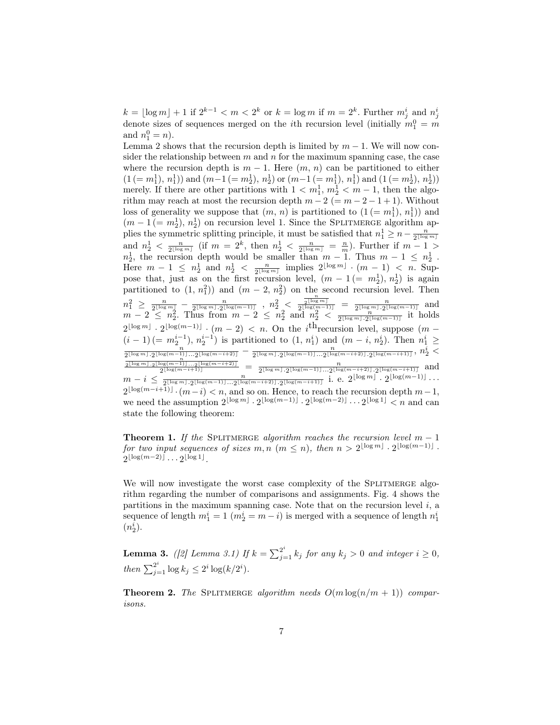$k = \lfloor \log m \rfloor + 1$  if  $2^{k-1} < m < 2^k$  or  $k = \log m$  if  $m = 2^k$ . Further  $m_j^i$  and  $n_j^i$ denote sizes of sequences merged on the *i*th recursion level (initially  $m_1^0 = m$ and  $n_1^0 = n$ .

Lemma 2 shows that the recursion depth is limited by  $m-1$ . We will now consider the relationship between  $m$  and  $n$  for the maximum spanning case, the case where the recursion depth is  $m-1$ . Here  $(m, n)$  can be partitioned to either  $(1 (= m_1^1), n_1^1)$  and  $(m-1 (= m_2^1), n_2^1)$  or  $(m-1 (= m_1^1), n_1^1)$  and  $(1 (= m_2^1), n_2^1)$ merely. If there are other partitions with  $1 < m_1^1, m_2^1 < m - 1$ , then the algorithm may reach at most the recursion depth  $m - 2 (= m - 2 - 1 + 1)$ . Without loss of generality we suppose that  $(m, n)$  is partitioned to  $(1 (= m_1^1), n_1^1))$  and  $(m-1 (= m_2^1), n_2^1)$  on recursion level 1. Since the SPLITMERGE algorithm apthe symmetric splitting principle, it must be satisfied that  $n_1^1 \ge n - \frac{n}{2^{\lfloor \log m \rfloor}}$ <br>and  $n_2^1 < \frac{n}{2^{\lfloor \log m \rfloor}}$  (if  $m = 2^k$ , then  $n_2^1 < \frac{n}{2^{\lfloor \log m \rfloor}} = \frac{n}{m}$ ). Further if  $m - 1 >$  $n_2^1$ , the recursion depth would be smaller than  $m-1$ . Thus  $m-1 \leq n_2^1$ . Here  $m-1 \leq n_{2}^1$  and  $n_{2}^1 < \frac{n}{2^{\lfloor \log m \rfloor}}$  implies  $2^{\lfloor \log m \rfloor} \cdot (m-1) < n$ . Suppose that, just as on the first recursion level,  $(m - 1 (= m_2^1), n_2^1)$  is again partitioned to  $(1, n_1^2)$  and  $(m-2, n_2^2)$  on the second recursion level. Then  $n_1^2 \ge \frac{n}{2^{\lfloor \log m \rfloor}} - \frac{n}{2^{\lfloor \log n \rfloor} \cdot 2^{\lfloor \log (m-1) \rfloor}}$  ,  $n_2^2 < \frac{\frac{n}{2^{\lfloor \log m \rfloor}}}{2^{\lfloor \log (m-1) \rfloor}} = \frac{n}{2^{\lfloor \log m \rfloor} \cdot 2^{\lfloor \log (m-1) \rfloor}}$  and  $m-2 \leq n_2^2$ . Thus from  $m-2 \leq n_2^2$  and  $n_2^2 < \frac{n}{2^{\lfloor \log m \rfloor} \cdot 2^{\lfloor \log(m-1) \rfloor}}$  it holds  $2^{\lfloor \log m \rfloor} \cdot 2^{\lfloor \log(m-1) \rfloor} \cdot (m-2) \, < \, n.$  On the i<sup>th</sup> recursion level, suppose  $(m-1)$  $(i-1) (= m_2^{i-1}), n_2^{i-1}$  is partitioned to  $(1, n_1^i)$  and  $(m-i, n_2^i)$ . Then  $n_1^i \geq$  $\frac{(t-1)(=m_2)}{2^{\lfloor \log m \rfloor} \cdot 2^{\lfloor \log (m-1) \rfloor} \cdot \cdot 2^{\lfloor \log (m-i+2) \rfloor}} = \frac{1}{2^{\lfloor \log m \rfloor} \cdot 2^{\lfloor \log (m-1) \rfloor} \cdot 2^{\lfloor \log (m-i+2) \rfloor}}$ <br>  $\frac{1}{2^{\lfloor \log m \rfloor} \cdot 2^{\lfloor \log (m-i+1) \rfloor} \cdot 2^{\lfloor \log (m-i+2) \rfloor}} = \frac{1}{2^{\lfloor \log m \rfloor} \cdot 2^{\lfloor \log (m-1) \rfloor$  $m - i \leq \frac{n}{2^{\lfloor \log m \rfloor} \cdot 2^{\lfloor \log(m-1) \rfloor} \cdot \cdot 2^{\lfloor \log(m-i+2) \rfloor} \cdot 2^{\lfloor \log(m-i+1) \rfloor}}$  i. e.  $2^{\lfloor \log m \rfloor} \cdot 2^{\lfloor \log(m-1) \rfloor} \cdots$  $2^{\lfloor \log(m-i+1)\rfloor} \cdot (m-i) < n$ , and so on. Hence, to reach the recursion depth  $m-1$ , we need the assumption  $2^{\lfloor \log m \rfloor} \cdot 2^{\lfloor \log(m-1) \rfloor} \cdot 2^{\lfloor \log(m-2) \rfloor} \cdots 2^{\lfloor \log 1 \rfloor} < n$  and can state the following theorem:

**Theorem 1.** If the SPLITMERGE algorithm reaches the recursion level  $m - 1$ for two input sequences of sizes  $m, n \ (m \leq n)$ , then  $n > 2^{\lfloor \log m \rfloor} \cdot 2^{\lfloor \log(m-1) \rfloor}$ .  $2^{\lfloor \log(m-2) \rfloor} \dots 2^{\lfloor \log 1 \rfloor}$ .

We will now investigate the worst case complexity of the SPLITMERGE algorithm regarding the number of comparisons and assignments. Fig. 4 shows the partitions in the maximum spanning case. Note that on the recursion level  $i$ , a sequence of length  $m_1^i = 1$   $(m_2^i = m - i)$  is merged with a sequence of length  $n_1^i$  $(n_2^i)$ .

**Lemma 3.** ([2] Lemma 3.1) If  $k = \sum_{j=1}^{2^i} k_j$  for any  $k_j > 0$  and integer  $i \ge 0$ , then  $\sum_{j=1}^{2^i} \log k_j \leq 2^i \log (k/2^i)$ .

**Theorem 2.** The SPLITMERGE algorithm needs  $O(m \log(n/m + 1))$  comparisons.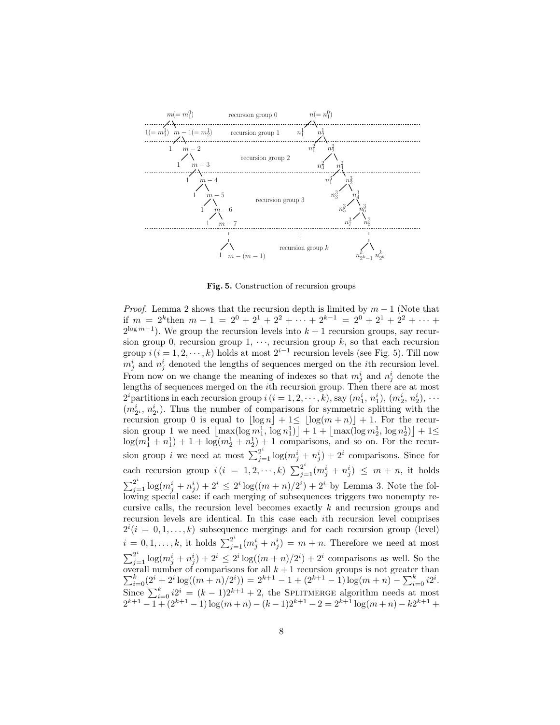

Fig. 5. Construction of recursion groups

*Proof.* Lemma 2 shows that the recursion depth is limited by  $m - 1$  (Note that if  $m = 2^k$ then  $m - 1 = 2^0 + 2^1 + 2^2 + \cdots + 2^{k-1} = 2^0 + 2^1 + 2^2 + \cdots$  $2^{\log m-1}$ ). We group the recursion levels into  $k+1$  recursion groups, say recursion group 0, recursion group 1,  $\cdots$ , recursion group k, so that each recursion group  $i$   $(i = 1, 2, \dots, k)$  holds at most  $2^{i-1}$  recursion levels (see Fig. 5). Till now  $m_j^i$  and  $n_j^i$  denoted the lengths of sequences merged on the *i*th recursion level. From now on we change the meaning of indexes so that  $m_j^i$  and  $n_j^i$  denote the lengths of sequences merged on the ith recursion group. Then there are at most  $2^i$  partitions in each recursion group  $i$   $(i = 1, 2, \dots, k)$ , say  $(m_1^i, n_1^i)$ ,  $(m_2^i, n_2^i)$ ,  $\dots$  $(m_{2^i}^i, n_{2^i}^i)$ . Thus the number of comparisons for symmetric splitting with the recursion group 0 is equal to  $\lfloor \log n \rfloor + 1 \leq \lfloor \log(m + n) \rfloor + 1$ . For the recursion group 1 we need  $\lfloor \max(\log m_1^1, \log n_1^1) \rfloor + 1 + \lfloor \max(\log m_2^1, \log n_2^1) \rfloor + 1 \leq$  $\log(m_1^1 + n_1^1) + 1 + \log(m_2^1 + n_2^1) + 1$  comparisons, and so on. For the recursion group *i* we need at most  $\sum_{j=1}^{2^i} \log(m_j^i + n_j^i) + 2^i$  comparisons. Since for each recursion group  $i(i = 1, 2, \dots, k)$   $\sum_{j=1}^{2^i} (m_j^i + n_j^i) \leq m + n$ , it holds  $\sum_{j=1}^{2^i} \log(m_j^i + n_j^i) + 2^i \leq 2^i \log((m+n)/2^i) + 2^i$  by Lemma 3. Note the following special case: if each merging of subsequences triggers two nonempty recursive calls, the recursion level becomes exactly k and recursion groups and recursion levels are identical. In this case each ith recursion level comprises  $2^{i}(i = 0, 1, \ldots, k)$  subsequence mergings and for each recursion group (level)  $i = 0, 1, \ldots, k$ , it holds  $\sum_{j=1}^{2^i} (m_j^i + n_j^i) = m + n$ . Therefore we need at most  $\sum_{j=1}^{2^i} \log(m_j^i + n_j^i) + 2^i \leq 2^i \log((m+n)/2^i) + 2^i$  comparisons as well. So the P overall number of comparisons for all  $k + 1$  recursion groups is not greater than  $\sum_{i=0}^{k} (2^{i} + 2^{i} \log((m+n)/2^{i})) = 2^{k+1} - 1 + (2^{k+1} - 1) \log(m+n) - \sum_{i=0}^{k} i2^{i}$ . Since  $\sum_{i=0}^{k} i2^{i} = (k-1)2^{k+1} + 2$ , the SPLITMERGE algorithm needs at most  $2^{k+1} - 1 + (2^{k+1} - 1) \log(m+n) - (k-1)2^{k+1} - 2 = 2^{k+1} \log(m+n) - k2^{k+1} +$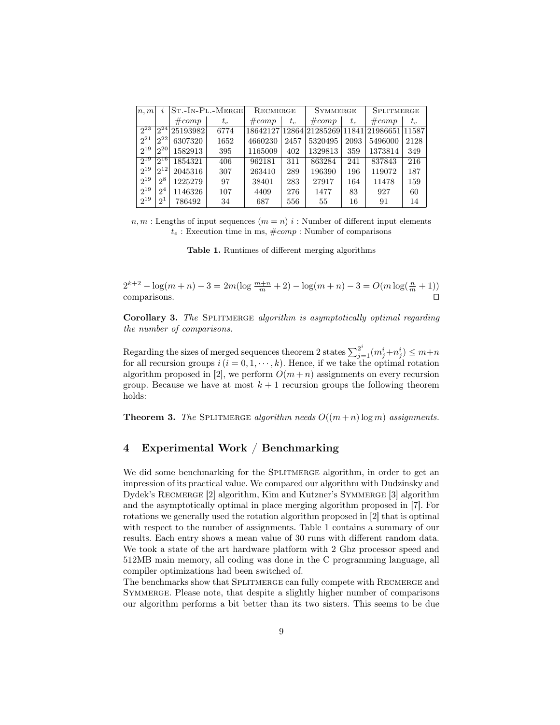| n, m     | $ST.-IN-PL.-MERGE$<br>$\boldsymbol{\eta}$ |          | RECMERGE |         | <b>SYMMERGE</b> |         | <b>SPLITMERGE</b> |                                              |         |
|----------|-------------------------------------------|----------|----------|---------|-----------------|---------|-------------------|----------------------------------------------|---------|
|          |                                           | #comp    | $t_e$    | #comp   | $t_e$           | #comp   | $t_{e}$           | #comp                                        | $t_{e}$ |
| $2^{23}$ | $2^{24}$                                  | 25193982 | 6774     |         |                 |         |                   | 18642127 12864 21285269 11841 21986651 11587 |         |
| $2^{21}$ | $2^{22}$                                  | 6307320  | 1652     | 4660230 | 2457            | 5320495 | 2093              | 5496000                                      | 2128    |
| $2^{19}$ | 20                                        | 1582913  | 395      | 1165009 | 402             | 1329813 | 359               | 1373814                                      | 349     |
| $2^{19}$ | $2^{16}$                                  | 1854321  | 406      | 962181  | 311             | 863284  | 241               | 837843                                       | 216     |
| $2^{19}$ | $2^{12}$                                  | 2045316  | 307      | 263410  | 289             | 196390  | 196               | 119072                                       | 187     |
| $2^{19}$ | $2^8$                                     | 1225279  | 97       | 38401   | 283             | 27917   | 164               | 11478                                        | 159     |
| $2^{19}$ | $2^4$                                     | 1146326  | 107      | 4409    | 276             | 1477    | 83                | 927                                          | 60      |
| $2^{19}$ | ച                                         | 786492   | 34       | 687     | 556             | 55      | 16                | 91                                           | 14      |

 $n, m$ : Lengths of input sequences  $(m = n)$  *i* : Number of different input elements  $t_e$ : Execution time in ms,  $\text{\#comp}$ : Number of comparisons

Table 1. Runtimes of different merging algorithms

 $2^{k+2} - \log(m+n) - 3 = 2m(\log\frac{m+n}{m} + 2) - \log(m+n) - 3 = O(m\log(\frac{n}{m} + 1))$  $\Box$ comparisons.  $\Box$ 

Corollary 3. The SPLITMERGE algorithm is asymptotically optimal regarding the number of comparisons.

Regarding the sizes of merged sequences theorem 2 states  $\sum_{j=1}^{2^i} (m_j^i + n_j^i) \leq m+n$ for all recursion groups  $i(i = 0, 1, \dots, k)$ . Hence, if we take the optimal rotation algorithm proposed in [2], we perform  $O(m+n)$  assignments on every recursion group. Because we have at most  $k + 1$  recursion groups the following theorem holds:

**Theorem 3.** The SPLITMERGE algorithm needs  $O((m+n) \log m)$  assignments.

## 4 Experimental Work / Benchmarking

We did some benchmarking for the SPLITMERGE algorithm, in order to get an impression of its practical value. We compared our algorithm with Dudzinsky and Dydek's RECMERGE [2] algorithm, Kim and Kutzner's SYMMERGE [3] algorithm and the asymptotically optimal in place merging algorithm proposed in [7]. For rotations we generally used the rotation algorithm proposed in [2] that is optimal with respect to the number of assignments. Table 1 contains a summary of our results. Each entry shows a mean value of 30 runs with different random data. We took a state of the art hardware platform with 2 Ghz processor speed and 512MB main memory, all coding was done in the C programming language, all compiler optimizations had been switched of.

The benchmarks show that SPLITMERGE can fully compete with RECMERGE and SYMMERGE. Please note, that despite a slightly higher number of comparisons our algorithm performs a bit better than its two sisters. This seems to be due